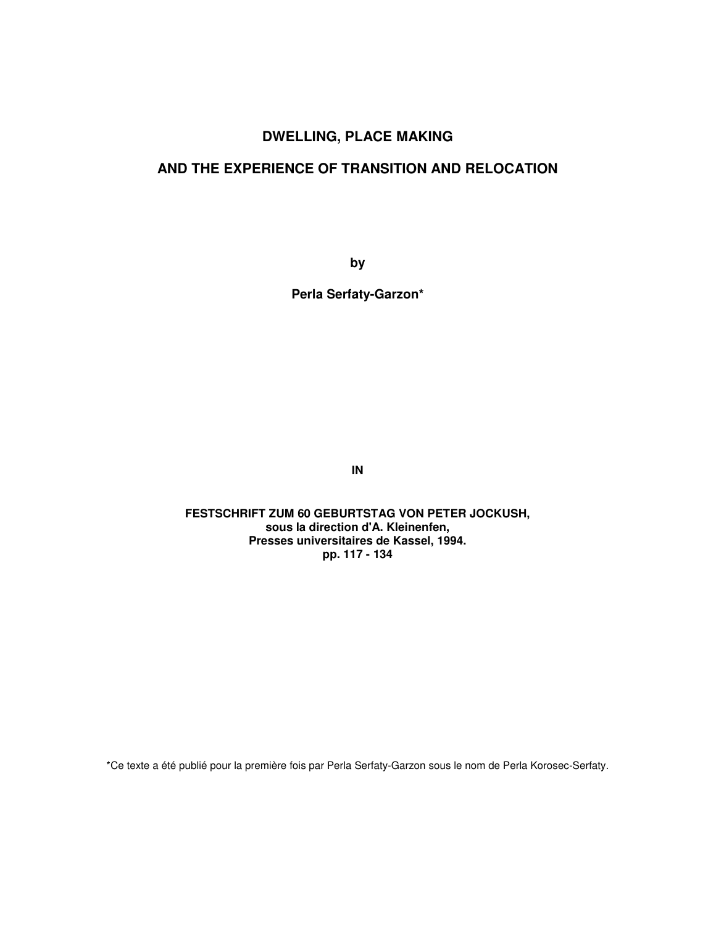## **DWELLING, PLACE MAKING**

## **AND THE EXPERIENCE OF TRANSITION AND RELOCATION**

**by** 

**Perla Serfaty-Garzon\*** 

**IN** 

**FESTSCHRIFT ZUM 60 GEBURTSTAG VON PETER JOCKUSH, sous la direction d'A. Kleinenfen, Presses universitaires de Kassel, 1994. pp. 117 - 134** 

\*Ce texte a été publié pour la première fois par Perla Serfaty-Garzon sous le nom de Perla Korosec-Serfaty.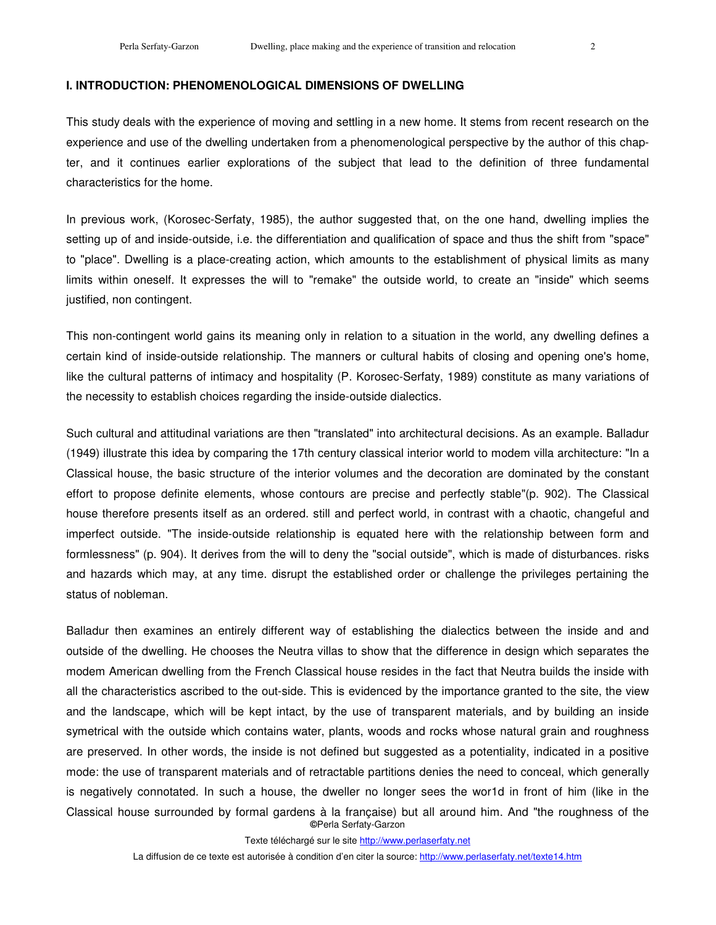### **I. INTRODUCTION: PHENOMENOLOGICAL DIMENSIONS OF DWELLING**

This study deals with the experience of moving and settling in a new home. It stems from recent research on the experience and use of the dwelling undertaken from a phenomenological perspective by the author of this chapter, and it continues earlier explorations of the subject that lead to the definition of three fundamental characteristics for the home.

In previous work, (Korosec-Serfaty, 1985), the author suggested that, on the one hand, dwelling implies the setting up of and inside-outside, i.e. the differentiation and qualification of space and thus the shift from "space" to "place". Dwelling is a place-creating action, which amounts to the establishment of physical limits as many limits within oneself. It expresses the will to "remake" the outside world, to create an "inside" which seems justified, non contingent.

This non-contingent world gains its meaning only in relation to a situation in the world, any dwelling defines a certain kind of inside-outside relationship. The manners or cultural habits of closing and opening one's home, like the cultural patterns of intimacy and hospitality (P. Korosec-Serfaty, 1989) constitute as many variations of the necessity to establish choices regarding the inside-outside dialectics.

Such cultural and attitudinal variations are then "translated" into architectural decisions. As an example. Balladur (1949) illustrate this idea by comparing the 17th century classical interior world to modem villa architecture: "In a Classical house, the basic structure of the interior volumes and the decoration are dominated by the constant effort to propose definite elements, whose contours are precise and perfectly stable"(p. 902). The Classical house therefore presents itself as an ordered. still and perfect world, in contrast with a chaotic, changeful and imperfect outside. "The inside-outside relationship is equated here with the relationship between form and formlessness" (p. 904). It derives from the will to deny the "social outside", which is made of disturbances. risks and hazards which may, at any time. disrupt the established order or challenge the privileges pertaining the status of nobleman.

**©**Perla Serfaty-Garzon Balladur then examines an entirely different way of establishing the dialectics between the inside and and outside of the dwelling. He chooses the Neutra villas to show that the difference in design which separates the modem American dwelling from the French Classical house resides in the fact that Neutra builds the inside with all the characteristics ascribed to the out-side. This is evidenced by the importance granted to the site, the view and the landscape, which will be kept intact, by the use of transparent materials, and by building an inside symetrical with the outside which contains water, plants, woods and rocks whose natural grain and roughness are preserved. In other words, the inside is not defined but suggested as a potentiality, indicated in a positive mode: the use of transparent materials and of retractable partitions denies the need to conceal, which generally is negatively connotated. In such a house, the dweller no longer sees the wor1d in front of him (like in the Classical house surrounded by formal gardens à la française) but all around him. And "the roughness of the

Texte téléchargé sur le site http://www.perlaserfaty.net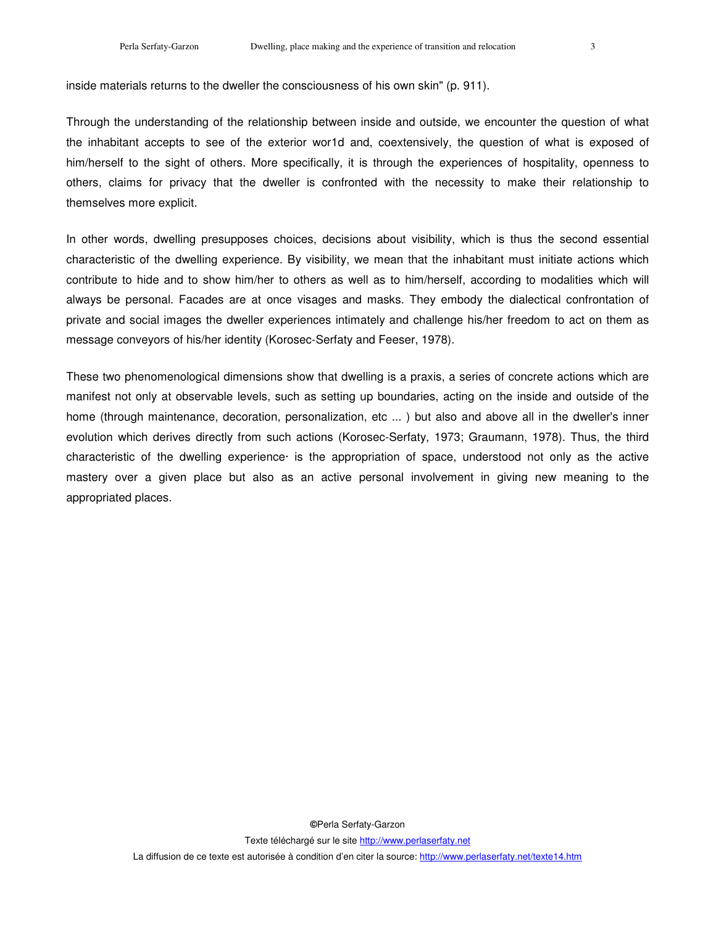inside materials returns to the dweller the consciousness of his own skin" (p. 911).

Through the understanding of the relationship between inside and outside, we encounter the question of what the inhabitant accepts to see of the exterior wor1d and, coextensively, the question of what is exposed of him/herself to the sight of others. More specifically, it is through the experiences of hospitality, openness to others, claims for privacy that the dweller is confronted with the necessity to make their relationship to themselves more explicit.

In other words, dwelling presupposes choices, decisions about visibility, which is thus the second essential characteristic of the dwelling experience. By visibility, we mean that the inhabitant must initiate actions which contribute to hide and to show him/her to others as well as to him/herself, according to modalities which will always be personal. Facades are at once visages and masks. They embody the dialectical confrontation of private and social images the dweller experiences intimately and challenge his/her freedom to act on them as message conveyors of his/her identity (Korosec-Serfaty and Feeser, 1978).

These two phenomenological dimensions show that dwelling is a praxis, a series of concrete actions which are manifest not only at observable levels, such as setting up boundaries, acting on the inside and outside of the home (through maintenance, decoration, personalization, etc ...) but also and above all in the dweller's inner evolution which derives directly from such actions (Korosec-Serfaty, 1973; Graumann, 1978). Thus, the third characteristic of the dwelling experience· is the appropriation of space, understood not only as the active mastery over a given place but also as an active personal involvement in giving new meaning to the appropriated places.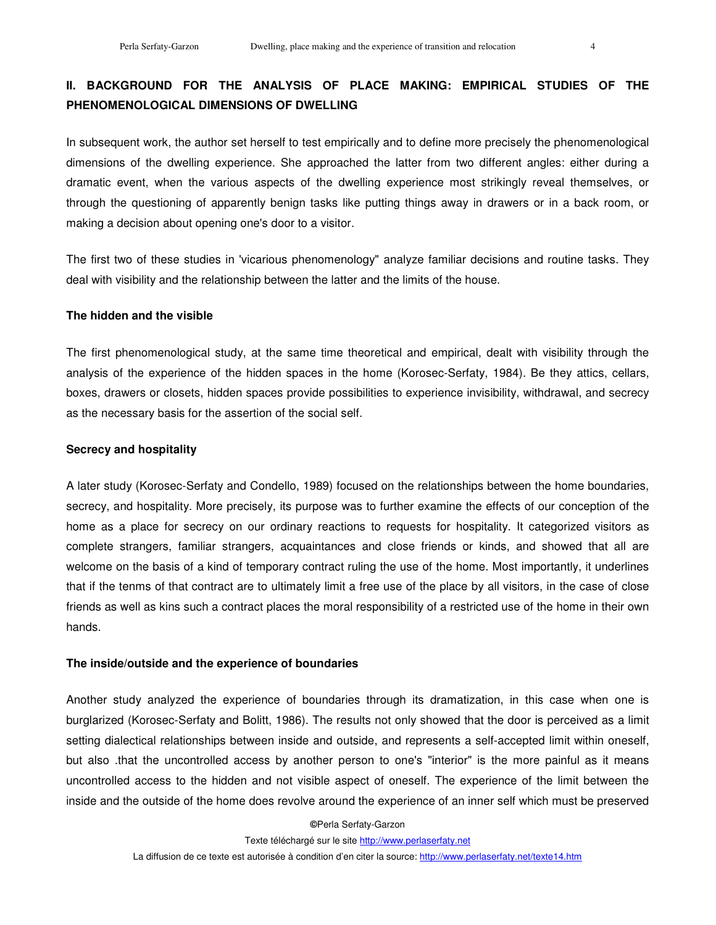# **II. BACKGROUND FOR THE ANALYSIS OF PLACE MAKING: EMPIRICAL STUDIES OF THE PHENOMENOLOGICAL DIMENSIONS OF DWELLING**

In subsequent work, the author set herself to test empirically and to define more precisely the phenomenological dimensions of the dwelling experience. She approached the latter from two different angles: either during a dramatic event, when the various aspects of the dwelling experience most strikingly reveal themselves, or through the questioning of apparently benign tasks like putting things away in drawers or in a back room, or making a decision about opening one's door to a visitor.

The first two of these studies in 'vicarious phenomenology" analyze familiar decisions and routine tasks. They deal with visibility and the relationship between the latter and the limits of the house.

#### **The hidden and the visible**

The first phenomenological study, at the same time theoretical and empirical, dealt with visibility through the analysis of the experience of the hidden spaces in the home (Korosec-Serfaty, 1984). Be they attics, cellars, boxes, drawers or closets, hidden spaces provide possibilities to experience invisibility, withdrawal, and secrecy as the necessary basis for the assertion of the social self.

#### **Secrecy and hospitality**

A later study (Korosec-Serfaty and Condello, 1989) focused on the relationships between the home boundaries, secrecy, and hospitality. More precisely, its purpose was to further examine the effects of our conception of the home as a place for secrecy on our ordinary reactions to requests for hospitality. It categorized visitors as complete strangers, familiar strangers, acquaintances and close friends or kinds, and showed that all are welcome on the basis of a kind of temporary contract ruling the use of the home. Most importantly, it underlines that if the tenms of that contract are to ultimately limit a free use of the place by all visitors, in the case of close friends as well as kins such a contract places the moral responsibility of a restricted use of the home in their own hands.

#### **The inside/outside and the experience of boundaries**

Another study analyzed the experience of boundaries through its dramatization, in this case when one is burglarized (Korosec-Serfaty and Bolitt, 1986). The results not only showed that the door is perceived as a limit setting dialectical relationships between inside and outside, and represents a self-accepted limit within oneself, but also .that the uncontrolled access by another person to one's "interior" is the more painful as it means uncontrolled access to the hidden and not visible aspect of oneself. The experience of the limit between the inside and the outside of the home does revolve around the experience of an inner self which must be preserved

**©**Perla Serfaty-Garzon

Texte téléchargé sur le site http://www.perlaserfaty.net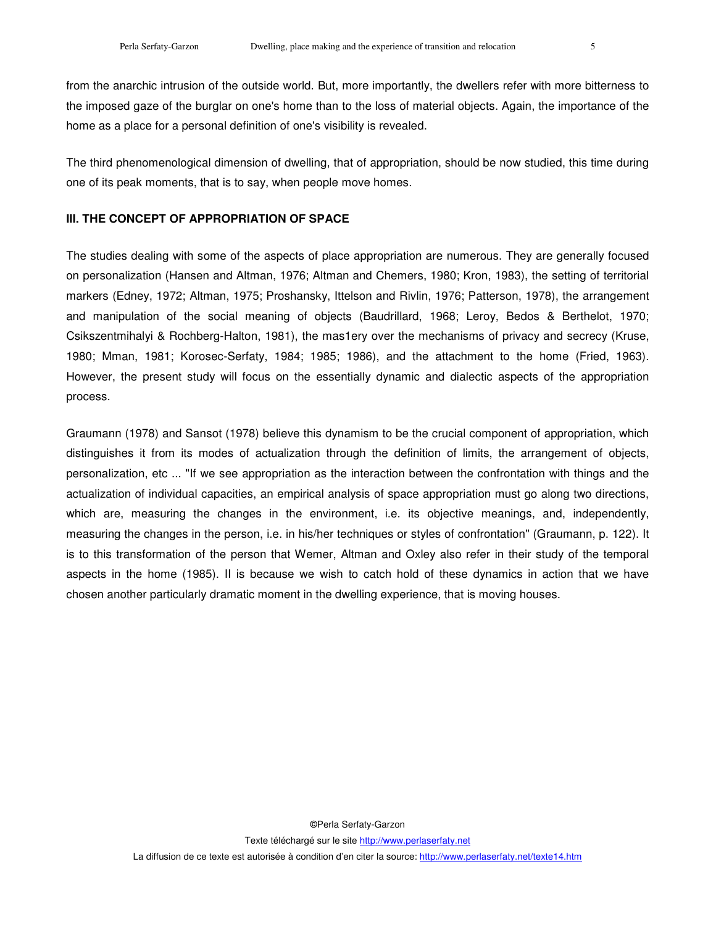from the anarchic intrusion of the outside world. But, more importantly, the dwellers refer with more bitterness to the imposed gaze of the burglar on one's home than to the loss of material objects. Again, the importance of the home as a place for a personal definition of one's visibility is revealed.

The third phenomenological dimension of dwelling, that of appropriation, should be now studied, this time during one of its peak moments, that is to say, when people move homes.

#### **III. THE CONCEPT OF APPROPRIATION OF SPACE**

The studies dealing with some of the aspects of place appropriation are numerous. They are generally focused on personalization (Hansen and Altman, 1976; Altman and Chemers, 1980; Kron, 1983), the setting of territorial markers (Edney, 1972; Altman, 1975; Proshansky, Ittelson and Rivlin, 1976; Patterson, 1978), the arrangement and manipulation of the social meaning of objects (Baudrillard, 1968; Leroy, Bedos & Berthelot, 1970; Csikszentmihalyi & Rochberg-Halton, 1981), the mas1ery over the mechanisms of privacy and secrecy (Kruse, 1980; Mman, 1981; Korosec-Serfaty, 1984; 1985; 1986), and the attachment to the home (Fried, 1963). However, the present study will focus on the essentially dynamic and dialectic aspects of the appropriation process.

Graumann (1978) and Sansot (1978) believe this dynamism to be the crucial component of appropriation, which distinguishes it from its modes of actualization through the definition of limits, the arrangement of objects, personalization, etc ... "If we see appropriation as the interaction between the confrontation with things and the actualization of individual capacities, an empirical analysis of space appropriation must go along two directions, which are, measuring the changes in the environment, i.e. its objective meanings, and, independently, measuring the changes in the person, i.e. in his/her techniques or styles of confrontation" (Graumann, p. 122). It is to this transformation of the person that Wemer, Altman and Oxley also refer in their study of the temporal aspects in the home (1985). II is because we wish to catch hold of these dynamics in action that we have chosen another particularly dramatic moment in the dwelling experience, that is moving houses.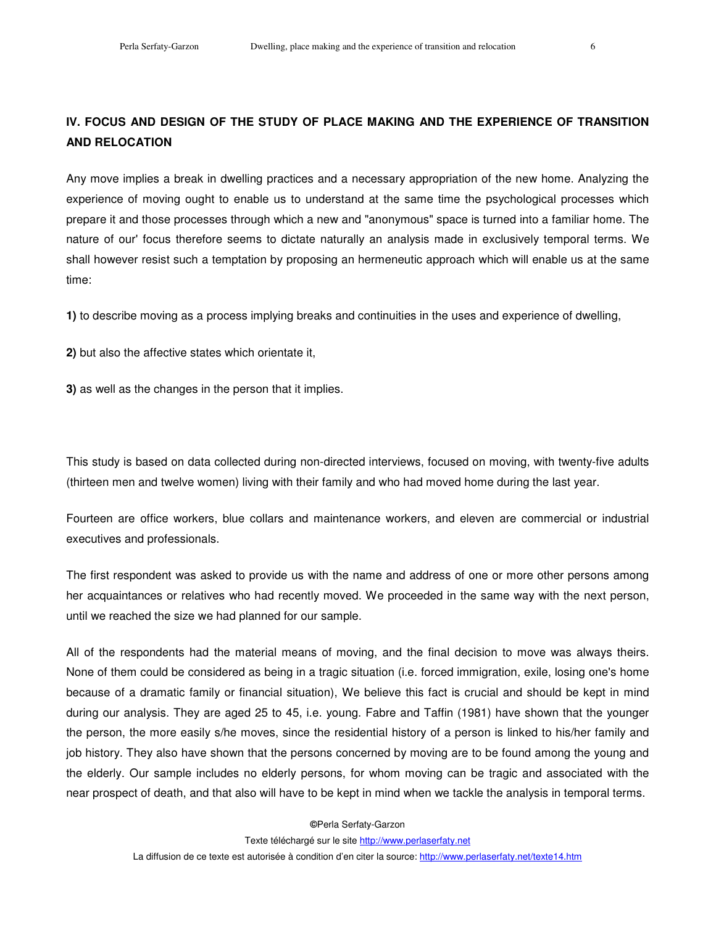## **IV. FOCUS AND DESIGN OF THE STUDY OF PLACE MAKING AND THE EXPERIENCE OF TRANSITION AND RELOCATION**

Any move implies a break in dwelling practices and a necessary appropriation of the new home. Analyzing the experience of moving ought to enable us to understand at the same time the psychological processes which prepare it and those processes through which a new and "anonymous" space is turned into a familiar home. The nature of our' focus therefore seems to dictate naturally an analysis made in exclusively temporal terms. We shall however resist such a temptation by proposing an hermeneutic approach which will enable us at the same time:

**1)** to describe moving as a process implying breaks and continuities in the uses and experience of dwelling,

**2)** but also the affective states which orientate it,

**3)** as well as the changes in the person that it implies.

This study is based on data collected during non-directed interviews, focused on moving, with twenty-five adults (thirteen men and twelve women) living with their family and who had moved home during the last year.

Fourteen are office workers, blue collars and maintenance workers, and eleven are commercial or industrial executives and professionals.

The first respondent was asked to provide us with the name and address of one or more other persons among her acquaintances or relatives who had recently moved. We proceeded in the same way with the next person, until we reached the size we had planned for our sample.

All of the respondents had the material means of moving, and the final decision to move was always theirs. None of them could be considered as being in a tragic situation (i.e. forced immigration, exile, losing one's home because of a dramatic family or financial situation), We believe this fact is crucial and should be kept in mind during our analysis. They are aged 25 to 45, i.e. young. Fabre and Taffin (1981) have shown that the younger the person, the more easily s/he moves, since the residential history of a person is linked to his/her family and job history. They also have shown that the persons concerned by moving are to be found among the young and the elderly. Our sample includes no elderly persons, for whom moving can be tragic and associated with the near prospect of death, and that also will have to be kept in mind when we tackle the analysis in temporal terms.

**©**Perla Serfaty-Garzon

Texte téléchargé sur le site http://www.perlaserfaty.net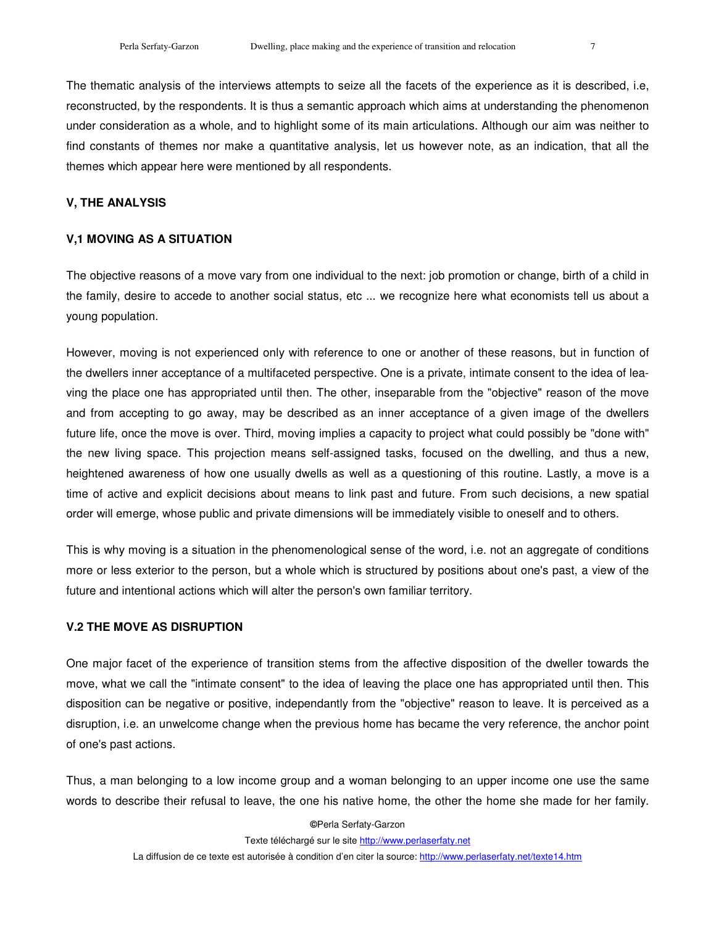The thematic analysis of the interviews attempts to seize all the facets of the experience as it is described, i.e, reconstructed, by the respondents. It is thus a semantic approach which aims at understanding the phenomenon under consideration as a whole, and to highlight some of its main articulations. Although our aim was neither to find constants of themes nor make a quantitative analysis, let us however note, as an indication, that all the themes which appear here were mentioned by all respondents.

#### **V, THE ANALYSIS**

### **V,1 MOVING AS A SITUATION**

The objective reasons of a move vary from one individual to the next: job promotion or change, birth of a child in the family, desire to accede to another social status, etc ... we recognize here what economists tell us about a young population.

However, moving is not experienced only with reference to one or another of these reasons, but in function of the dwellers inner acceptance of a multifaceted perspective. One is a private, intimate consent to the idea of leaving the place one has appropriated until then. The other, inseparable from the "objective" reason of the move and from accepting to go away, may be described as an inner acceptance of a given image of the dwellers future life, once the move is over. Third, moving implies a capacity to project what could possibly be "done with" the new living space. This projection means self-assigned tasks, focused on the dwelling, and thus a new, heightened awareness of how one usually dwells as well as a questioning of this routine. Lastly, a move is a time of active and explicit decisions about means to link past and future. From such decisions, a new spatial order will emerge, whose public and private dimensions will be immediately visible to oneself and to others.

This is why moving is a situation in the phenomenological sense of the word, i.e. not an aggregate of conditions more or less exterior to the person, but a whole which is structured by positions about one's past, a view of the future and intentional actions which will alter the person's own familiar territory.

### **V.2 THE MOVE AS DISRUPTION**

One major facet of the experience of transition stems from the affective disposition of the dweller towards the move, what we call the "intimate consent" to the idea of leaving the place one has appropriated until then. This disposition can be negative or positive, independantly from the "objective" reason to leave. It is perceived as a disruption, i.e. an unwelcome change when the previous home has became the very reference, the anchor point of one's past actions.

Thus, a man belonging to a low income group and a woman belonging to an upper income one use the same words to describe their refusal to leave, the one his native home, the other the home she made for her family.

**©**Perla Serfaty-Garzon

Texte téléchargé sur le site http://www.perlaserfaty.net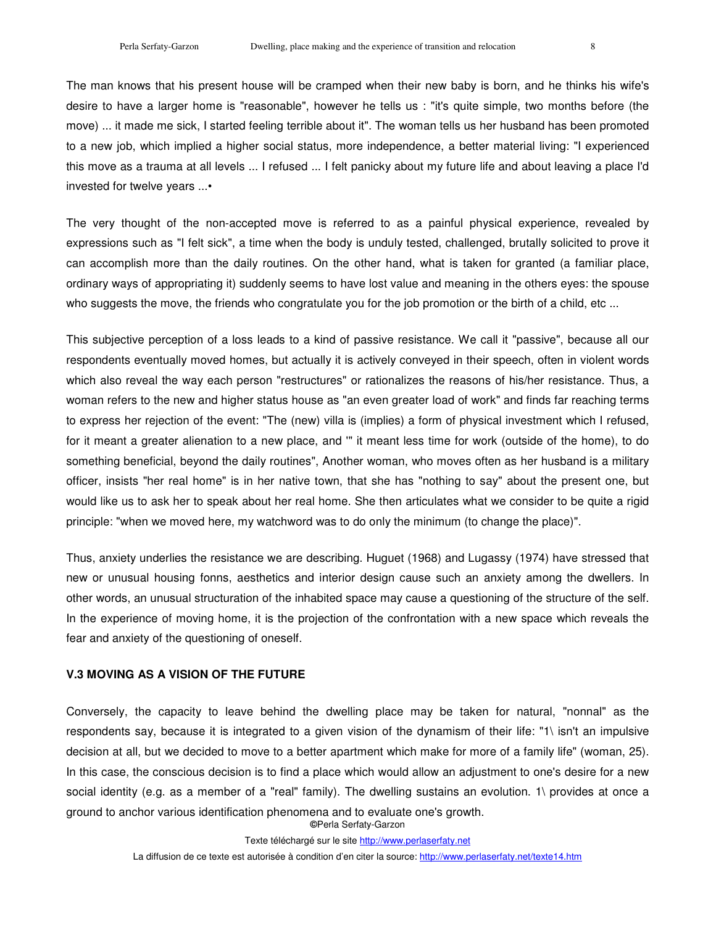The man knows that his present house will be cramped when their new baby is born, and he thinks his wife's desire to have a larger home is "reasonable", however he tells us : "it's quite simple, two months before (the move) ... it made me sick, I started feeling terrible about it". The woman tells us her husband has been promoted to a new job, which implied a higher social status, more independence, a better material living: "I experienced this move as a trauma at all levels ... I refused ... I felt panicky about my future life and about leaving a place I'd invested for twelve years ...•

The very thought of the non-accepted move is referred to as a painful physical experience, revealed by expressions such as "I felt sick", a time when the body is unduly tested, challenged, brutally solicited to prove it can accomplish more than the daily routines. On the other hand, what is taken for granted (a familiar place, ordinary ways of appropriating it) suddenly seems to have lost value and meaning in the others eyes: the spouse who suggests the move, the friends who congratulate you for the job promotion or the birth of a child, etc ...

This subjective perception of a loss leads to a kind of passive resistance. We call it "passive", because all our respondents eventually moved homes, but actually it is actively conveyed in their speech, often in violent words which also reveal the way each person "restructures" or rationalizes the reasons of his/her resistance. Thus, a woman refers to the new and higher status house as "an even greater load of work" and finds far reaching terms to express her rejection of the event: "The (new) villa is (implies) a form of physical investment which I refused, for it meant a greater alienation to a new place, and '" it meant less time for work (outside of the home), to do something beneficial, beyond the daily routines", Another woman, who moves often as her husband is a military officer, insists "her real home" is in her native town, that she has "nothing to say" about the present one, but would like us to ask her to speak about her real home. She then articulates what we consider to be quite a rigid principle: "when we moved here, my watchword was to do only the minimum (to change the place)".

Thus, anxiety underlies the resistance we are describing. Huguet (1968) and Lugassy (1974) have stressed that new or unusual housing fonns, aesthetics and interior design cause such an anxiety among the dwellers. In other words, an unusual structuration of the inhabited space may cause a questioning of the structure of the self. In the experience of moving home, it is the projection of the confrontation with a new space which reveals the fear and anxiety of the questioning of oneself.

## **V.3 MOVING AS A VISION OF THE FUTURE**

**©**Perla Serfaty-Garzon Conversely, the capacity to leave behind the dwelling place may be taken for natural, "nonnal" as the respondents say, because it is integrated to a given vision of the dynamism of their life: "1\ isn't an impulsive decision at all, but we decided to move to a better apartment which make for more of a family life" (woman, 25). In this case, the conscious decision is to find a place which would allow an adjustment to one's desire for a new social identity (e.g. as a member of a "real" family). The dwelling sustains an evolution. 1\ provides at once a ground to anchor various identification phenomena and to evaluate one's growth.

Texte téléchargé sur le site http://www.perlaserfaty.net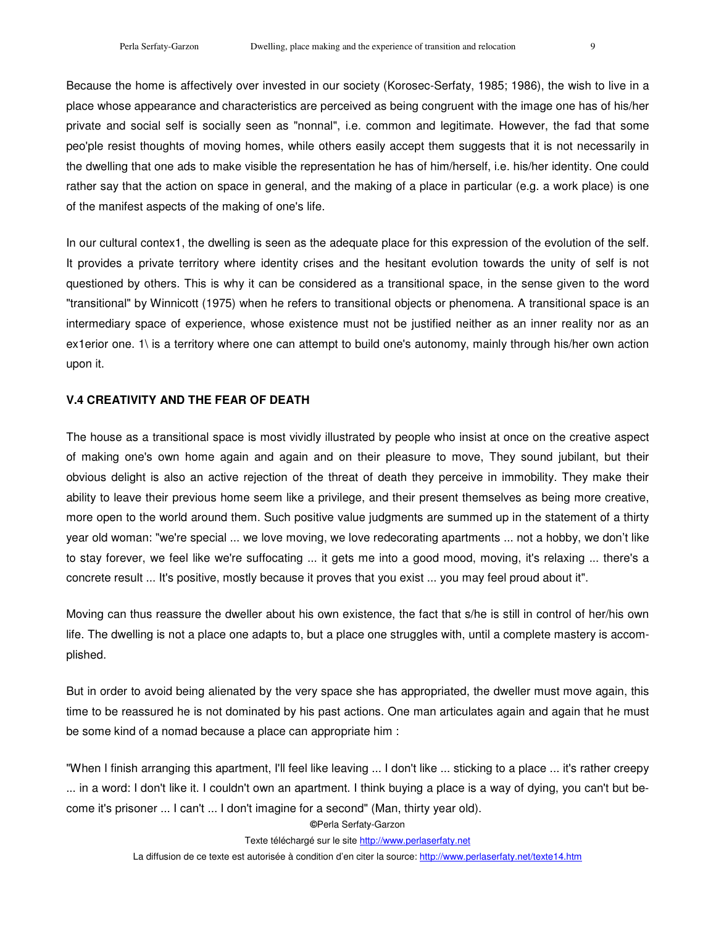Because the home is affectively over invested in our society (Korosec-Serfaty, 1985; 1986), the wish to live in a place whose appearance and characteristics are perceived as being congruent with the image one has of his/her private and social self is socially seen as "nonnal", i.e. common and legitimate. However, the fad that some peo'ple resist thoughts of moving homes, while others easily accept them suggests that it is not necessarily in the dwelling that one ads to make visible the representation he has of him/herself, i.e. his/her identity. One could rather say that the action on space in general, and the making of a place in particular (e.g. a work place) is one of the manifest aspects of the making of one's life.

In our cultural contex1, the dwelling is seen as the adequate place for this expression of the evolution of the self. It provides a private territory where identity crises and the hesitant evolution towards the unity of self is not questioned by others. This is why it can be considered as a transitional space, in the sense given to the word "transitional" by Winnicott (1975) when he refers to transitional objects or phenomena. A transitional space is an intermediary space of experience, whose existence must not be justified neither as an inner reality nor as an ex1erior one. 1\ is a territory where one can attempt to build one's autonomy, mainly through his/her own action upon it.

#### **V.4 CREATIVITY AND THE FEAR OF DEATH**

The house as a transitional space is most vividly illustrated by people who insist at once on the creative aspect of making one's own home again and again and on their pleasure to move, They sound jubilant, but their obvious delight is also an active rejection of the threat of death they perceive in immobility. They make their ability to leave their previous home seem like a privilege, and their present themselves as being more creative, more open to the world around them. Such positive value judgments are summed up in the statement of a thirty year old woman: "we're special ... we love moving, we love redecorating apartments ... not a hobby, we don't like to stay forever, we feel like we're suffocating ... it gets me into a good mood, moving, it's relaxing ... there's a concrete result ... It's positive, mostly because it proves that you exist ... you may feel proud about it".

Moving can thus reassure the dweller about his own existence, the fact that s/he is still in control of her/his own life. The dwelling is not a place one adapts to, but a place one struggles with, until a complete mastery is accomplished.

But in order to avoid being alienated by the very space she has appropriated, the dweller must move again, this time to be reassured he is not dominated by his past actions. One man articulates again and again that he must be some kind of a nomad because a place can appropriate him :

"When I finish arranging this apartment, I'll feel like leaving ... I don't like ... sticking to a place ... it's rather creepy ... in a word: I don't like it. I couldn't own an apartment. I think buying a place is a way of dying, you can't but become it's prisoner ... I can't ... I don't imagine for a second" (Man, thirty year old).

**©**Perla Serfaty-Garzon

Texte téléchargé sur le site http://www.perlaserfaty.net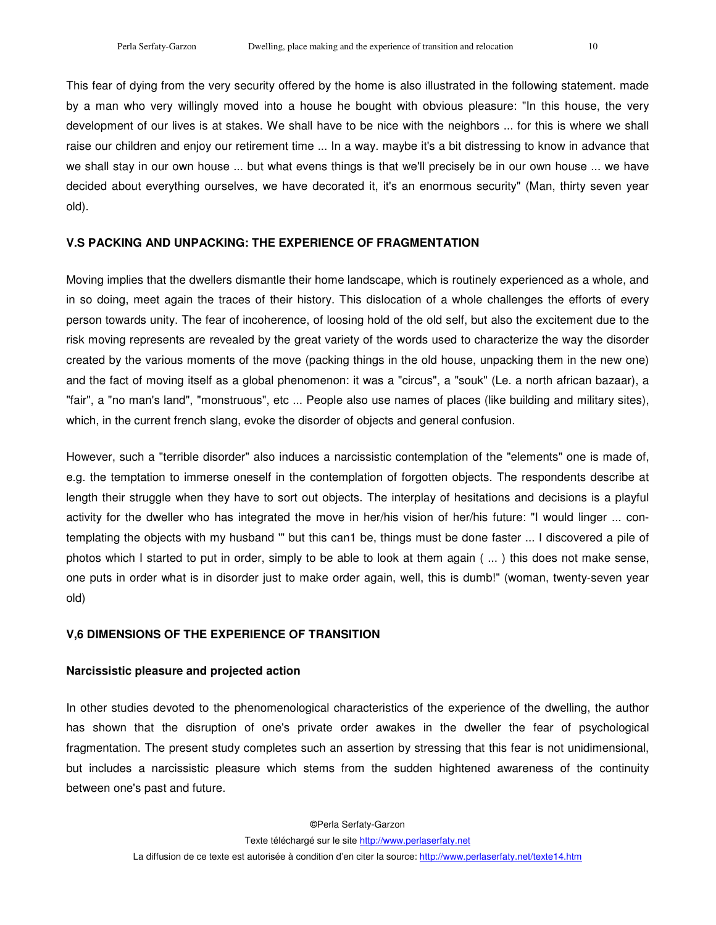This fear of dying from the very security offered by the home is also illustrated in the following statement. made by a man who very willingly moved into a house he bought with obvious pleasure: "In this house, the very development of our lives is at stakes. We shall have to be nice with the neighbors ... for this is where we shall raise our children and enjoy our retirement time ... In a way. maybe it's a bit distressing to know in advance that we shall stay in our own house ... but what evens things is that we'll precisely be in our own house ... we have decided about everything ourselves, we have decorated it, it's an enormous security" (Man, thirty seven year old).

#### **V.S PACKING AND UNPACKING: THE EXPERIENCE OF FRAGMENTATION**

Moving implies that the dwellers dismantle their home landscape, which is routinely experienced as a whole, and in so doing, meet again the traces of their history. This dislocation of a whole challenges the efforts of every person towards unity. The fear of incoherence, of loosing hold of the old self, but also the excitement due to the risk moving represents are revealed by the great variety of the words used to characterize the way the disorder created by the various moments of the move (packing things in the old house, unpacking them in the new one) and the fact of moving itself as a global phenomenon: it was a "circus", a "souk" (Le. a north african bazaar), a "fair", a "no man's land", "monstruous", etc ... People also use names of places (like building and military sites), which, in the current french slang, evoke the disorder of objects and general confusion.

However, such a "terrible disorder" also induces a narcissistic contemplation of the "elements" one is made of, e.g. the temptation to immerse oneself in the contemplation of forgotten objects. The respondents describe at length their struggle when they have to sort out objects. The interplay of hesitations and decisions is a playful activity for the dweller who has integrated the move in her/his vision of her/his future: "I would linger ... contemplating the objects with my husband '" but this can1 be, things must be done faster ... I discovered a pile of photos which I started to put in order, simply to be able to look at them again ( ... ) this does not make sense, one puts in order what is in disorder just to make order again, well, this is dumb!" (woman, twenty-seven year old)

#### **V,6 DIMENSIONS OF THE EXPERIENCE OF TRANSITION**

#### **Narcissistic pleasure and projected action**

In other studies devoted to the phenomenological characteristics of the experience of the dwelling, the author has shown that the disruption of one's private order awakes in the dweller the fear of psychological fragmentation. The present study completes such an assertion by stressing that this fear is not unidimensional, but includes a narcissistic pleasure which stems from the sudden hightened awareness of the continuity between one's past and future.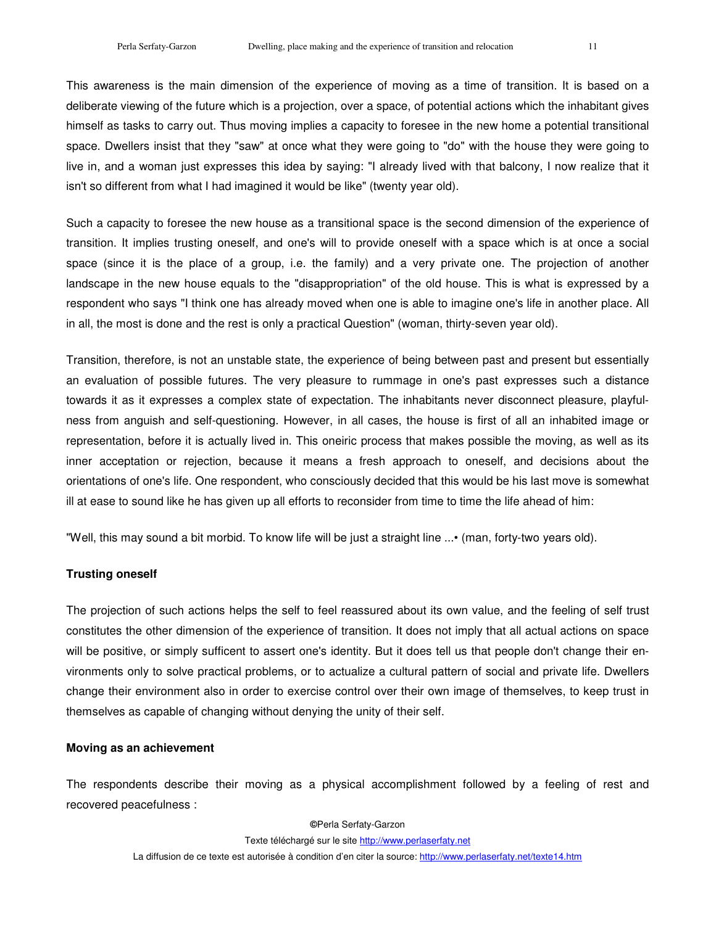This awareness is the main dimension of the experience of moving as a time of transition. It is based on a deliberate viewing of the future which is a projection, over a space, of potential actions which the inhabitant gives himself as tasks to carry out. Thus moving implies a capacity to foresee in the new home a potential transitional space. Dwellers insist that they "saw" at once what they were going to "do" with the house they were going to live in, and a woman just expresses this idea by saying: "I already lived with that balcony, I now realize that it isn't so different from what I had imagined it would be like" (twenty year old).

Such a capacity to foresee the new house as a transitional space is the second dimension of the experience of transition. It implies trusting oneself, and one's will to provide oneself with a space which is at once a social space (since it is the place of a group, i.e. the family) and a very private one. The projection of another landscape in the new house equals to the "disappropriation" of the old house. This is what is expressed by a respondent who says "I think one has already moved when one is able to imagine one's life in another place. All in all, the most is done and the rest is only a practical Question" (woman, thirty-seven year old).

Transition, therefore, is not an unstable state, the experience of being between past and present but essentially an evaluation of possible futures. The very pleasure to rummage in one's past expresses such a distance towards it as it expresses a complex state of expectation. The inhabitants never disconnect pleasure, playfulness from anguish and self-questioning. However, in all cases, the house is first of all an inhabited image or representation, before it is actually lived in. This oneiric process that makes possible the moving, as well as its inner acceptation or rejection, because it means a fresh approach to oneself, and decisions about the orientations of one's life. One respondent, who consciously decided that this would be his last move is somewhat ill at ease to sound like he has given up all efforts to reconsider from time to time the life ahead of him:

"Well, this may sound a bit morbid. To know life will be just a straight line ...• (man, forty-two years old).

## **Trusting oneself**

The projection of such actions helps the self to feel reassured about its own value, and the feeling of self trust constitutes the other dimension of the experience of transition. It does not imply that all actual actions on space will be positive, or simply sufficent to assert one's identity. But it does tell us that people don't change their environments only to solve practical problems, or to actualize a cultural pattern of social and private life. Dwellers change their environment also in order to exercise control over their own image of themselves, to keep trust in themselves as capable of changing without denying the unity of their self.

### **Moving as an achievement**

The respondents describe their moving as a physical accomplishment followed by a feeling of rest and recovered peacefulness :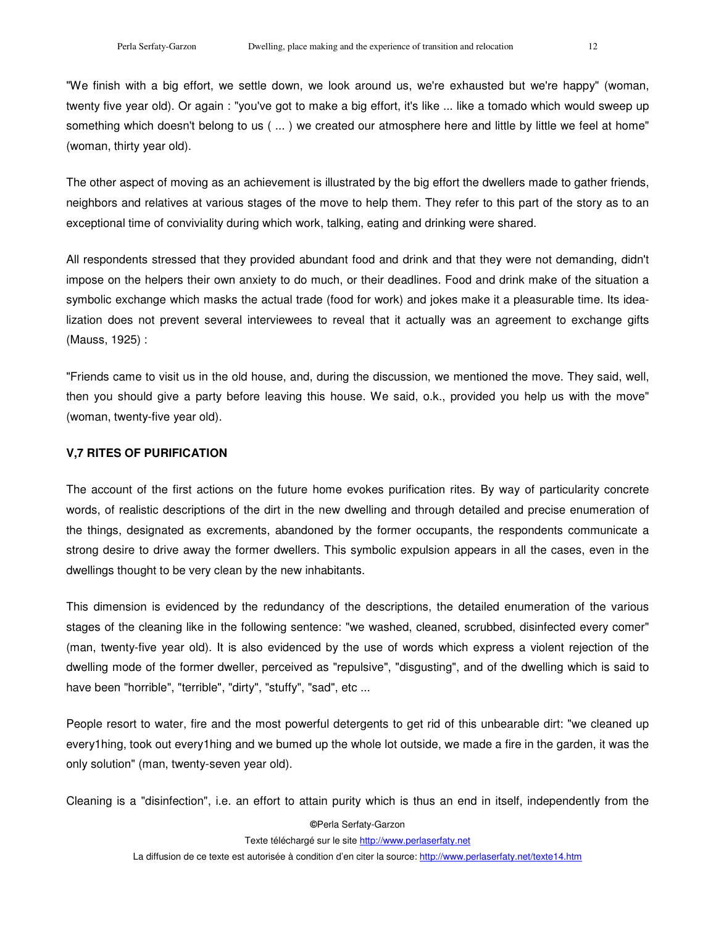"We finish with a big effort, we settle down, we look around us, we're exhausted but we're happy" (woman, twenty five year old). Or again : "you've got to make a big effort, it's like ... like a tomado which would sweep up something which doesn't belong to us ( ... ) we created our atmosphere here and little by little we feel at home" (woman, thirty year old).

The other aspect of moving as an achievement is illustrated by the big effort the dwellers made to gather friends, neighbors and relatives at various stages of the move to help them. They refer to this part of the story as to an exceptional time of conviviality during which work, talking, eating and drinking were shared.

All respondents stressed that they provided abundant food and drink and that they were not demanding, didn't impose on the helpers their own anxiety to do much, or their deadlines. Food and drink make of the situation a symbolic exchange which masks the actual trade (food for work) and jokes make it a pleasurable time. Its idealization does not prevent several interviewees to reveal that it actually was an agreement to exchange gifts (Mauss, 1925) :

"Friends came to visit us in the old house, and, during the discussion, we mentioned the move. They said, well, then you should give a party before leaving this house. We said, o.k., provided you help us with the move" (woman, twenty-five year old).

### **V,7 RITES OF PURIFICATION**

The account of the first actions on the future home evokes purification rites. By way of particularity concrete words, of realistic descriptions of the dirt in the new dwelling and through detailed and precise enumeration of the things, designated as excrements, abandoned by the former occupants, the respondents communicate a strong desire to drive away the former dwellers. This symbolic expulsion appears in all the cases, even in the dwellings thought to be very clean by the new inhabitants.

This dimension is evidenced by the redundancy of the descriptions, the detailed enumeration of the various stages of the cleaning like in the following sentence: "we washed, cleaned, scrubbed, disinfected every comer" (man, twenty-five year old). It is also evidenced by the use of words which express a violent rejection of the dwelling mode of the former dweller, perceived as "repulsive", "disgusting", and of the dwelling which is said to have been "horrible", "terrible", "dirty", "stuffy", "sad", etc ...

People resort to water, fire and the most powerful detergents to get rid of this unbearable dirt: "we cleaned up every1hing, took out every1hing and we bumed up the whole lot outside, we made a fire in the garden, it was the only solution" (man, twenty-seven year old).

Cleaning is a "disinfection", i.e. an effort to attain purity which is thus an end in itself, independently from the

**©**Perla Serfaty-Garzon Texte téléchargé sur le site http://www.perlaserfaty.net La diffusion de ce texte est autorisée à condition d'en citer la source: http://www.perlaserfaty.net/texte14.htm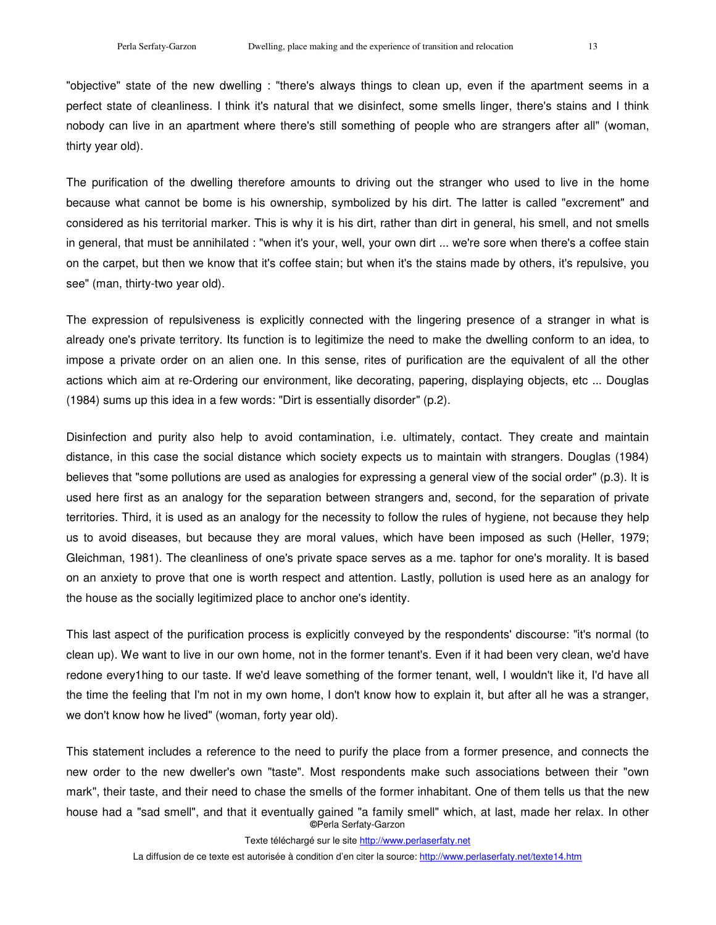"objective" state of the new dwelling : "there's always things to clean up, even if the apartment seems in a perfect state of cleanliness. I think it's natural that we disinfect, some smells linger, there's stains and I think nobody can live in an apartment where there's still something of people who are strangers after all" (woman, thirty year old).

The purification of the dwelling therefore amounts to driving out the stranger who used to live in the home because what cannot be bome is his ownership, symbolized by his dirt. The latter is called "excrement" and considered as his territorial marker. This is why it is his dirt, rather than dirt in general, his smell, and not smells in general, that must be annihilated : "when it's your, well, your own dirt ... we're sore when there's a coffee stain on the carpet, but then we know that it's coffee stain; but when it's the stains made by others, it's repulsive, you see" (man, thirty-two year old).

The expression of repulsiveness is explicitly connected with the lingering presence of a stranger in what is already one's private territory. Its function is to legitimize the need to make the dwelling conform to an idea, to impose a private order on an alien one. In this sense, rites of purification are the equivalent of all the other actions which aim at re-Ordering our environment, like decorating, papering, displaying objects, etc ... Douglas (1984) sums up this idea in a few words: "Dirt is essentially disorder" (p.2).

Disinfection and purity also help to avoid contamination, i.e. ultimately, contact. They create and maintain distance, in this case the social distance which society expects us to maintain with strangers. Douglas (1984) believes that "some pollutions are used as analogies for expressing a general view of the social order" (p.3). It is used here first as an analogy for the separation between strangers and, second, for the separation of private territories. Third, it is used as an analogy for the necessity to follow the rules of hygiene, not because they help us to avoid diseases, but because they are moral values, which have been imposed as such (Heller, 1979; Gleichman, 1981). The cleanliness of one's private space serves as a me. taphor for one's morality. It is based on an anxiety to prove that one is worth respect and attention. Lastly, pollution is used here as an analogy for the house as the socially legitimized place to anchor one's identity.

This last aspect of the purification process is explicitly conveyed by the respondents' discourse: "it's normal (to clean up). We want to live in our own home, not in the former tenant's. Even if it had been very clean, we'd have redone every1hing to our taste. If we'd leave something of the former tenant, well, I wouldn't like it, I'd have all the time the feeling that I'm not in my own home, I don't know how to explain it, but after all he was a stranger, we don't know how he lived" (woman, forty year old).

**©**Perla Serfaty-Garzon This statement includes a reference to the need to purify the place from a former presence, and connects the new order to the new dweller's own "taste". Most respondents make such associations between their "own mark", their taste, and their need to chase the smells of the former inhabitant. One of them tells us that the new house had a "sad smell", and that it eventually gained "a family smell" which, at last, made her relax. In other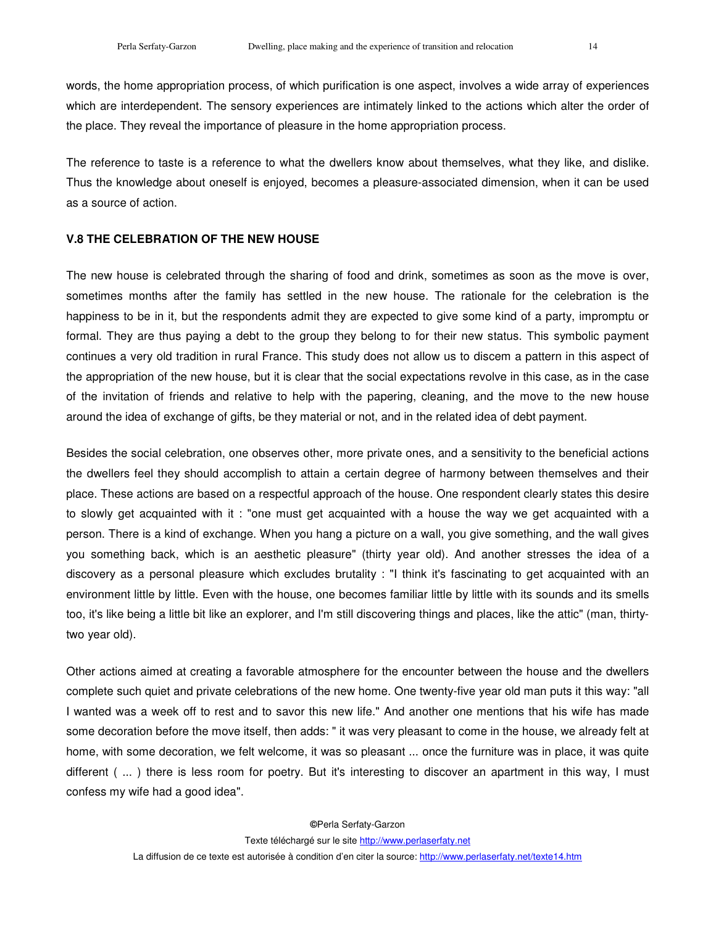words, the home appropriation process, of which purification is one aspect, involves a wide array of experiences which are interdependent. The sensory experiences are intimately linked to the actions which alter the order of the place. They reveal the importance of pleasure in the home appropriation process.

The reference to taste is a reference to what the dwellers know about themselves, what they like, and dislike. Thus the knowledge about oneself is enjoyed, becomes a pleasure-associated dimension, when it can be used as a source of action.

### **V.8 THE CELEBRATION OF THE NEW HOUSE**

The new house is celebrated through the sharing of food and drink, sometimes as soon as the move is over, sometimes months after the family has settled in the new house. The rationale for the celebration is the happiness to be in it, but the respondents admit they are expected to give some kind of a party, impromptu or formal. They are thus paying a debt to the group they belong to for their new status. This symbolic payment continues a very old tradition in rural France. This study does not allow us to discem a pattern in this aspect of the appropriation of the new house, but it is clear that the social expectations revolve in this case, as in the case of the invitation of friends and relative to help with the papering, cleaning, and the move to the new house around the idea of exchange of gifts, be they material or not, and in the related idea of debt payment.

Besides the social celebration, one observes other, more private ones, and a sensitivity to the beneficial actions the dwellers feel they should accomplish to attain a certain degree of harmony between themselves and their place. These actions are based on a respectful approach of the house. One respondent clearly states this desire to slowly get acquainted with it : "one must get acquainted with a house the way we get acquainted with a person. There is a kind of exchange. When you hang a picture on a wall, you give something, and the wall gives you something back, which is an aesthetic pleasure" (thirty year old). And another stresses the idea of a discovery as a personal pleasure which excludes brutality : "I think it's fascinating to get acquainted with an environment little by little. Even with the house, one becomes familiar little by little with its sounds and its smells too, it's like being a little bit like an explorer, and I'm still discovering things and places, like the attic" (man, thirtytwo year old).

Other actions aimed at creating a favorable atmosphere for the encounter between the house and the dwellers complete such quiet and private celebrations of the new home. One twenty-five year old man puts it this way: "all I wanted was a week off to rest and to savor this new life." And another one mentions that his wife has made some decoration before the move itself, then adds: " it was very pleasant to come in the house, we already felt at home, with some decoration, we felt welcome, it was so pleasant ... once the furniture was in place, it was quite different ( ... ) there is less room for poetry. But it's interesting to discover an apartment in this way, I must confess my wife had a good idea".

**©**Perla Serfaty-Garzon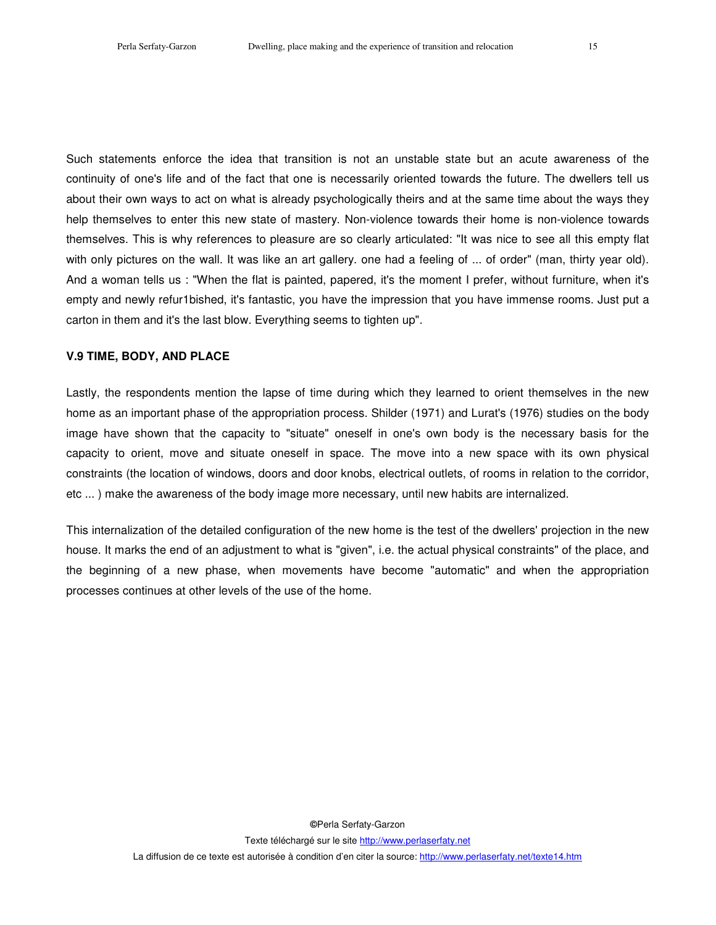Such statements enforce the idea that transition is not an unstable state but an acute awareness of the continuity of one's life and of the fact that one is necessarily oriented towards the future. The dwellers tell us about their own ways to act on what is already psychologically theirs and at the same time about the ways they help themselves to enter this new state of mastery. Non-violence towards their home is non-violence towards themselves. This is why references to pleasure are so clearly articulated: "It was nice to see all this empty flat with only pictures on the wall. It was like an art gallery, one had a feeling of ... of order" (man, thirty year old). And a woman tells us : "When the flat is painted, papered, it's the moment I prefer, without furniture, when it's empty and newly refur1bished, it's fantastic, you have the impression that you have immense rooms. Just put a carton in them and it's the last blow. Everything seems to tighten up".

### **V.9 TIME, BODY, AND PLACE**

Lastly, the respondents mention the lapse of time during which they learned to orient themselves in the new home as an important phase of the appropriation process. Shilder (1971) and Lurat's (1976) studies on the body image have shown that the capacity to "situate" oneself in one's own body is the necessary basis for the capacity to orient, move and situate oneself in space. The move into a new space with its own physical constraints (the location of windows, doors and door knobs, electrical outlets, of rooms in relation to the corridor, etc ... ) make the awareness of the body image more necessary, until new habits are internalized.

This internalization of the detailed configuration of the new home is the test of the dwellers' projection in the new house. It marks the end of an adjustment to what is "given", i.e. the actual physical constraints" of the place, and the beginning of a new phase, when movements have become "automatic" and when the appropriation processes continues at other levels of the use of the home.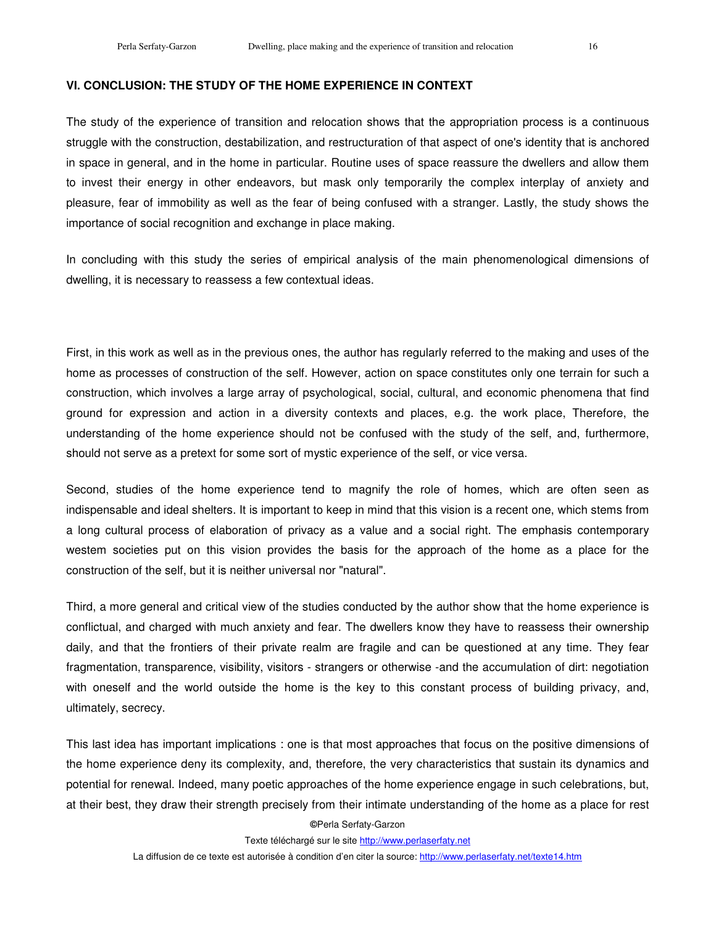### **VI. CONCLUSION: THE STUDY OF THE HOME EXPERIENCE IN CONTEXT**

The study of the experience of transition and relocation shows that the appropriation process is a continuous struggle with the construction, destabilization, and restructuration of that aspect of one's identity that is anchored in space in general, and in the home in particular. Routine uses of space reassure the dwellers and allow them to invest their energy in other endeavors, but mask only temporarily the complex interplay of anxiety and pleasure, fear of immobility as well as the fear of being confused with a stranger. Lastly, the study shows the importance of social recognition and exchange in place making.

In concluding with this study the series of empirical analysis of the main phenomenological dimensions of dwelling, it is necessary to reassess a few contextual ideas.

First, in this work as well as in the previous ones, the author has regularly referred to the making and uses of the home as processes of construction of the self. However, action on space constitutes only one terrain for such a construction, which involves a large array of psychological, social, cultural, and economic phenomena that find ground for expression and action in a diversity contexts and places, e.g. the work place, Therefore, the understanding of the home experience should not be confused with the study of the self, and, furthermore, should not serve as a pretext for some sort of mystic experience of the self, or vice versa.

Second, studies of the home experience tend to magnify the role of homes, which are often seen as indispensable and ideal shelters. It is important to keep in mind that this vision is a recent one, which stems from a long cultural process of elaboration of privacy as a value and a social right. The emphasis contemporary westem societies put on this vision provides the basis for the approach of the home as a place for the construction of the self, but it is neither universal nor "natural".

Third, a more general and critical view of the studies conducted by the author show that the home experience is conflictual, and charged with much anxiety and fear. The dwellers know they have to reassess their ownership daily, and that the frontiers of their private realm are fragile and can be questioned at any time. They fear fragmentation, transparence, visibility, visitors - strangers or otherwise -and the accumulation of dirt: negotiation with oneself and the world outside the home is the key to this constant process of building privacy, and, ultimately, secrecy.

This last idea has important implications : one is that most approaches that focus on the positive dimensions of the home experience deny its complexity, and, therefore, the very characteristics that sustain its dynamics and potential for renewal. Indeed, many poetic approaches of the home experience engage in such celebrations, but, at their best, they draw their strength precisely from their intimate understanding of the home as a place for rest

#### **©**Perla Serfaty-Garzon

Texte téléchargé sur le site http://www.perlaserfaty.net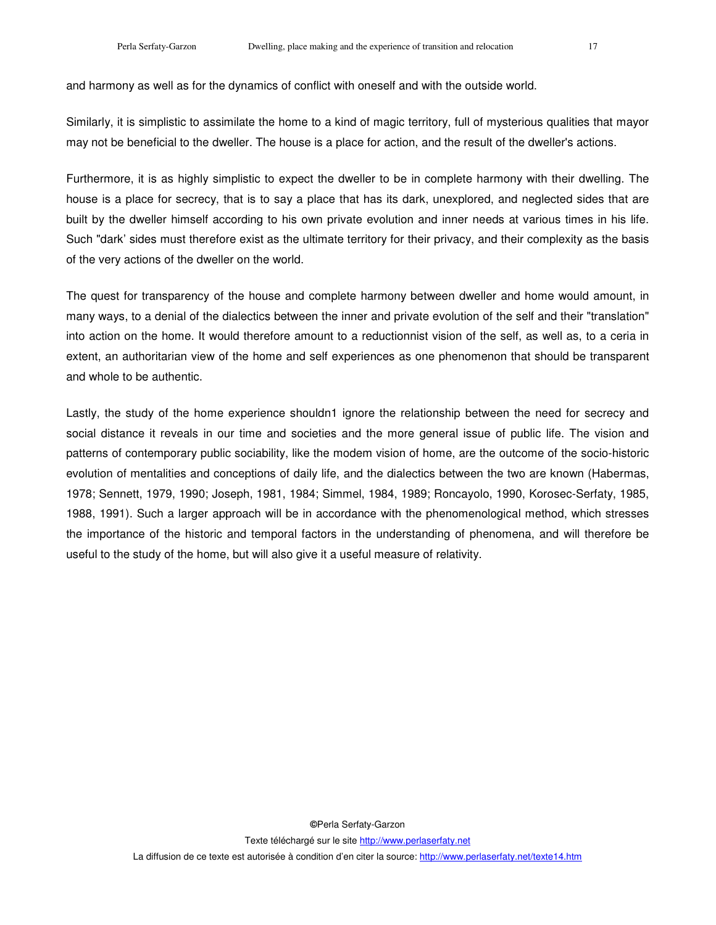and harmony as well as for the dynamics of conflict with oneself and with the outside world.

Similarly, it is simplistic to assimilate the home to a kind of magic territory, full of mysterious qualities that mayor may not be beneficial to the dweller. The house is a place for action, and the result of the dweller's actions.

Furthermore, it is as highly simplistic to expect the dweller to be in complete harmony with their dwelling. The house is a place for secrecy, that is to say a place that has its dark, unexplored, and neglected sides that are built by the dweller himself according to his own private evolution and inner needs at various times in his life. Such "dark' sides must therefore exist as the ultimate territory for their privacy, and their complexity as the basis of the very actions of the dweller on the world.

The quest for transparency of the house and complete harmony between dweller and home would amount, in many ways, to a denial of the dialectics between the inner and private evolution of the self and their "translation" into action on the home. It would therefore amount to a reductionnist vision of the self, as well as, to a ceria in extent, an authoritarian view of the home and self experiences as one phenomenon that should be transparent and whole to be authentic.

Lastly, the study of the home experience shouldn1 ignore the relationship between the need for secrecy and social distance it reveals in our time and societies and the more general issue of public life. The vision and patterns of contemporary public sociability, like the modem vision of home, are the outcome of the socio-historic evolution of mentalities and conceptions of daily life, and the dialectics between the two are known (Habermas, 1978; Sennett, 1979, 1990; Joseph, 1981, 1984; Simmel, 1984, 1989; Roncayolo, 1990, Korosec-Serfaty, 1985, 1988, 1991). Such a larger approach will be in accordance with the phenomenological method, which stresses the importance of the historic and temporal factors in the understanding of phenomena, and will therefore be useful to the study of the home, but will also give it a useful measure of relativity.

**©**Perla Serfaty-Garzon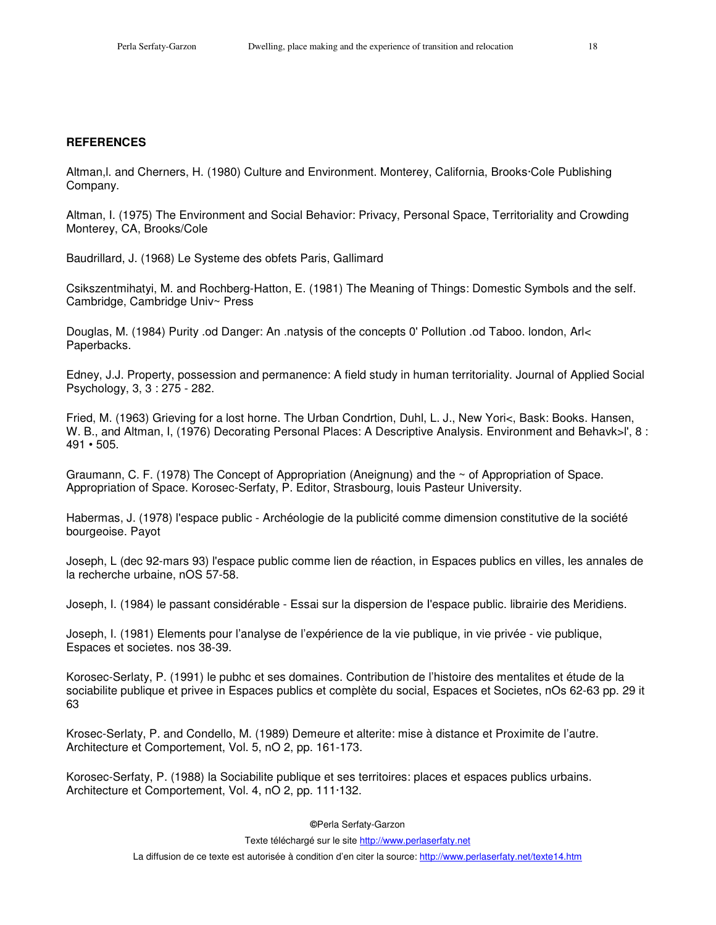#### **REFERENCES**

Altman,l. and Cherners, H. (1980) Culture and Environment. Monterey, California, Brooks·Cole Publishing Company.

Altman, I. (1975) The Environment and Social Behavior: Privacy, Personal Space, Territoriality and Crowding Monterey, CA, Brooks/Cole

Baudrillard, J. (1968) Le Systeme des obfets Paris, Gallimard

Csikszentmihatyi, M. and Rochberg-Hatton, E. (1981) The Meaning of Things: Domestic Symbols and the self. Cambridge, Cambridge Univ~ Press

Douglas, M. (1984) Purity .od Danger: An .natysis of the concepts 0' Pollution .od Taboo. london, Arl< Paperbacks.

Edney, J.J. Property, possession and permanence: A field study in human territoriality. Journal of Applied Social Psychology, 3, 3 : 275 - 282.

Fried, M. (1963) Grieving for a lost horne. The Urban Condrtion, Duhl, L. J., New Yori<, Bask: Books. Hansen, W. B., and Altman, I, (1976) Decorating Personal Places: A Descriptive Analysis. Environment and Behavk>l', 8 : 491 • 505.

Graumann, C. F. (1978) The Concept of Appropriation (Aneignung) and the ~ of Appropriation of Space. Appropriation of Space. Korosec-Serfaty, P. Editor, Strasbourg, louis Pasteur University.

Habermas, J. (1978) l'espace public - Archéologie de la publicité comme dimension constitutive de la société bourgeoise. Payot

Joseph, L (dec 92-mars 93) l'espace public comme lien de réaction, in Espaces publics en villes, les annales de la recherche urbaine, nOS 57-58.

Joseph, I. (1984) le passant considérable - Essai sur la dispersion de I'espace public. librairie des Meridiens.

Joseph, I. (1981) Elements pour l'analyse de l'expérience de la vie publique, in vie privée - vie publique, Espaces et societes. nos 38-39.

Korosec-Serlaty, P. (1991) le pubhc et ses domaines. Contribution de l'histoire des mentalites et étude de la sociabilite publique et privee in Espaces publics et complète du social, Espaces et Societes, nOs 62-63 pp. 29 it 63

Krosec-Serlaty, P. and Condello, M. (1989) Demeure et alterite: mise à distance et Proximite de l'autre. Architecture et Comportement, Vol. 5, nO 2, pp. 161-173.

Korosec-Serfaty, P. (1988) la Sociabilite publique et ses territoires: places et espaces publics urbains. Architecture et Comportement, Vol. 4, nO 2, pp. 111·132.

**©**Perla Serfaty-Garzon

Texte téléchargé sur le site http://www.perlaserfaty.net